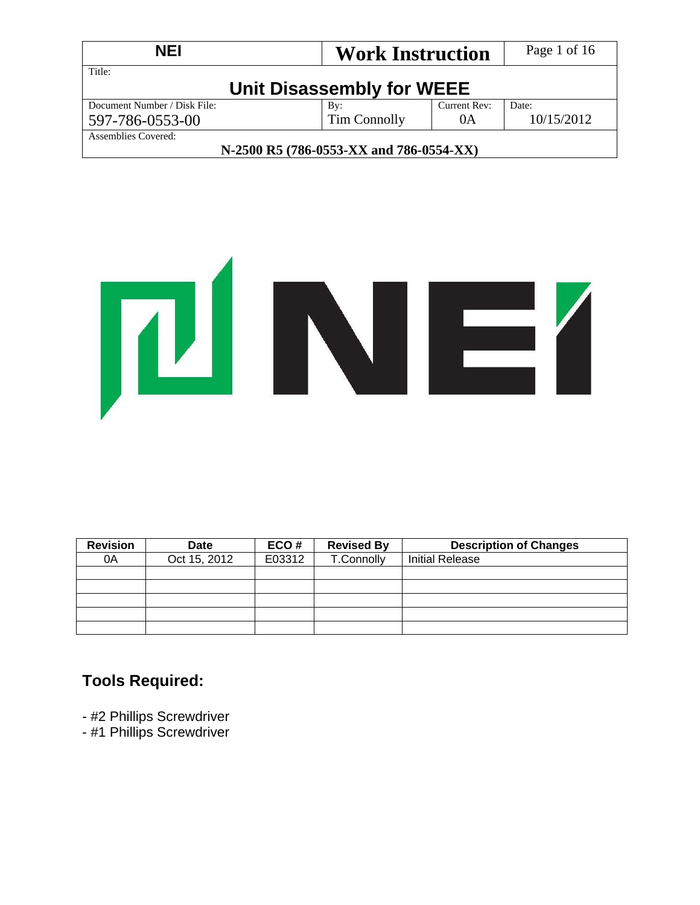| <b>NEI</b><br><b>Work Instruction</b>   |                           |              | Page 1 of 16 |  |
|-----------------------------------------|---------------------------|--------------|--------------|--|
| Title:                                  | Unit Disassembly for WEEE |              |              |  |
| Document Number / Disk File:            | By:                       | Current Rev: | Date:        |  |
| 597-786-0553-00                         | 10/15/2012                |              |              |  |
| <b>Assemblies Covered:</b>              |                           |              |              |  |
| N-2500 R5 (786-0553-XX and 786-0554-XX) |                           |              |              |  |



| <b>Revision</b> | <b>Date</b>  | ECO#   | <b>Revised By</b> | <b>Description of Changes</b> |
|-----------------|--------------|--------|-------------------|-------------------------------|
| 0A              | Oct 15, 2012 | E03312 | T.Connolly        | <b>Initial Release</b>        |
|                 |              |        |                   |                               |
|                 |              |        |                   |                               |
|                 |              |        |                   |                               |
|                 |              |        |                   |                               |
|                 |              |        |                   |                               |

# **Tools Required:**

- #2 Phillips Screwdriver
- #1 Phillips Screwdriver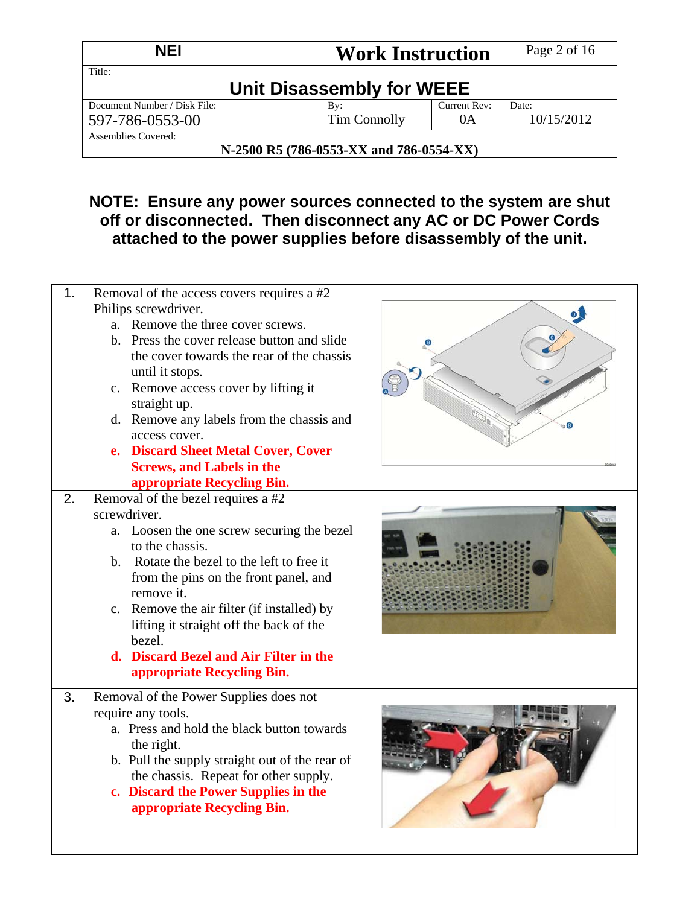| <b>NEI</b><br><b>Work Instruction</b>   |                           | Page 2 of 16 |            |  |  |
|-----------------------------------------|---------------------------|--------------|------------|--|--|
| Title:                                  | Unit Disassembly for WEEE |              |            |  |  |
| Document Number / Disk File:            | By:                       | Current Rev: | Date:      |  |  |
| 597-786-0553-00                         | Tim Connolly              | 0A           | 10/15/2012 |  |  |
| Assemblies Covered:                     |                           |              |            |  |  |
| N-2500 R5 (786-0553-XX and 786-0554-XX) |                           |              |            |  |  |

# **NOTE: Ensure any power sources connected to the system are shut off or disconnected. Then disconnect any AC or DC Power Cords attached to the power supplies before disassembly of the unit.**

| 1. | Removal of the access covers requires a #2<br>Philips screwdriver.<br>a. Remove the three cover screws.<br>b. Press the cover release button and slide<br>the cover towards the rear of the chassis<br>until it stops.<br>c. Remove access cover by lifting it<br>straight up.<br>d. Remove any labels from the chassis and<br>access cover.<br>e. Discard Sheet Metal Cover, Cover<br><b>Screws, and Labels in the</b><br>appropriate Recycling Bin. |  |
|----|-------------------------------------------------------------------------------------------------------------------------------------------------------------------------------------------------------------------------------------------------------------------------------------------------------------------------------------------------------------------------------------------------------------------------------------------------------|--|
| 2. | Removal of the bezel requires a #2<br>screwdriver.<br>a. Loosen the one screw securing the bezel<br>to the chassis.<br>b. Rotate the bezel to the left to free it<br>from the pins on the front panel, and<br>remove it.<br>c. Remove the air filter (if installed) by<br>lifting it straight off the back of the<br>bezel.<br>d. Discard Bezel and Air Filter in the<br>appropriate Recycling Bin.                                                   |  |
| 3. | Removal of the Power Supplies does not<br>require any tools.<br>a. Press and hold the black button towards<br>the right.<br>b. Pull the supply straight out of the rear of<br>the chassis. Repeat for other supply.<br>c. Discard the Power Supplies in the<br>appropriate Recycling Bin.                                                                                                                                                             |  |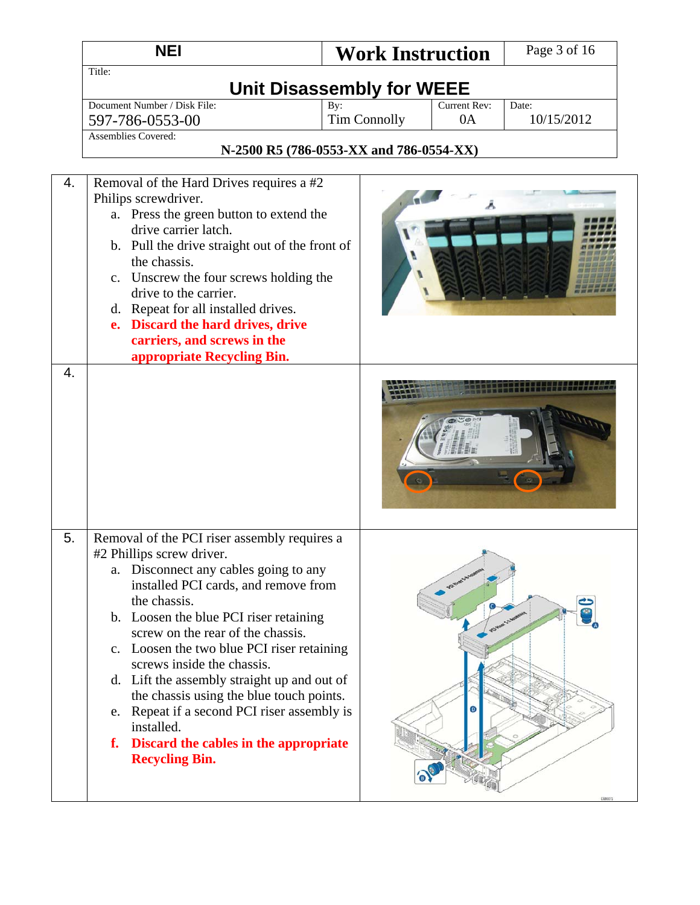|                        | <b>NEI</b>                                                                                                                                                                                                                                                                                                                                                                                                                                                                                                                                                            | <b>Work Instruction</b>                 |                    | Page 3 of 16        |  |  |
|------------------------|-----------------------------------------------------------------------------------------------------------------------------------------------------------------------------------------------------------------------------------------------------------------------------------------------------------------------------------------------------------------------------------------------------------------------------------------------------------------------------------------------------------------------------------------------------------------------|-----------------------------------------|--------------------|---------------------|--|--|
|                        | Title:<br><b>Unit Disassembly for WEEE</b>                                                                                                                                                                                                                                                                                                                                                                                                                                                                                                                            |                                         |                    |                     |  |  |
|                        | Document Number / Disk File:<br>597-786-0553-00                                                                                                                                                                                                                                                                                                                                                                                                                                                                                                                       | By:<br><b>Tim Connolly</b>              | Current Rev:<br>0A | Date:<br>10/15/2012 |  |  |
|                        | <b>Assemblies Covered:</b>                                                                                                                                                                                                                                                                                                                                                                                                                                                                                                                                            | N-2500 R5 (786-0553-XX and 786-0554-XX) |                    |                     |  |  |
| 4.<br>$\overline{4}$ . | Removal of the Hard Drives requires a #2<br>Philips screwdriver.<br>a. Press the green button to extend the<br>drive carrier latch.<br>b. Pull the drive straight out of the front of<br>the chassis.<br>c. Unscrew the four screws holding the<br>drive to the carrier.<br>d. Repeat for all installed drives.<br>e. Discard the hard drives, drive<br>carriers, and screws in the<br>appropriate Recycling Bin.                                                                                                                                                     |                                         |                    |                     |  |  |
| 5.                     | Removal of the PCI riser assembly requires a<br>#2 Phillips screw driver.<br>a. Disconnect any cables going to any<br>installed PCI cards, and remove from<br>the chassis.<br>b. Loosen the blue PCI riser retaining<br>screw on the rear of the chassis.<br>c. Loosen the two blue PCI riser retaining<br>screws inside the chassis.<br>d. Lift the assembly straight up and out of<br>the chassis using the blue touch points.<br>e. Repeat if a second PCI riser assembly is<br>installed.<br>Discard the cables in the appropriate<br>f.<br><b>Recycling Bin.</b> |                                         |                    |                     |  |  |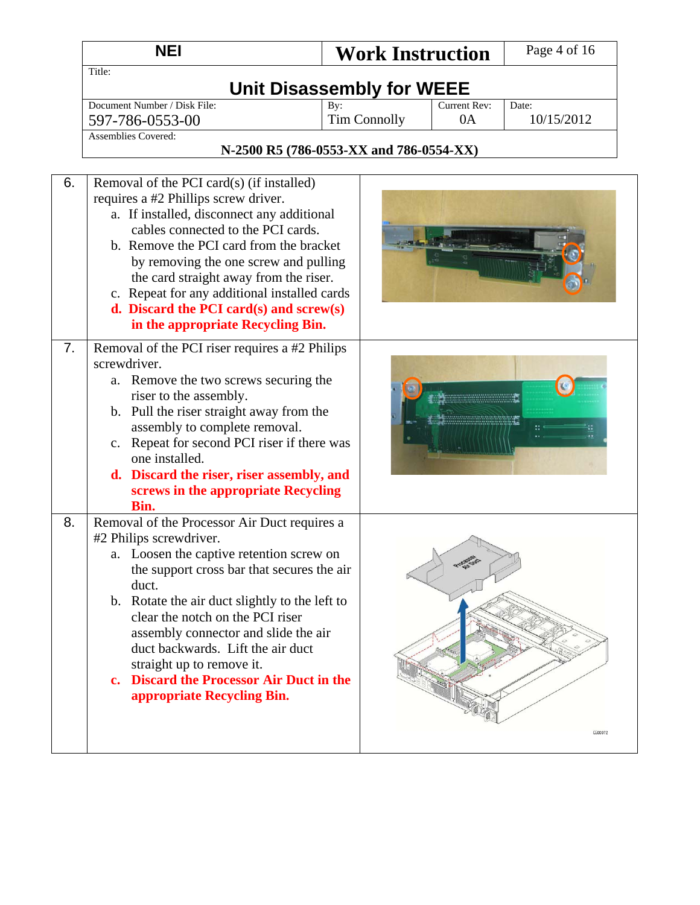|    | <b>NEI</b>                                                                                                                                                                                                                                                                                                                                                                                                                                           | <b>Work Instruction</b>          |                    | Page 4 of 16        |
|----|------------------------------------------------------------------------------------------------------------------------------------------------------------------------------------------------------------------------------------------------------------------------------------------------------------------------------------------------------------------------------------------------------------------------------------------------------|----------------------------------|--------------------|---------------------|
|    | Title:                                                                                                                                                                                                                                                                                                                                                                                                                                               |                                  |                    |                     |
|    |                                                                                                                                                                                                                                                                                                                                                                                                                                                      | <b>Unit Disassembly for WEEE</b> |                    |                     |
|    | Document Number / Disk File:                                                                                                                                                                                                                                                                                                                                                                                                                         | By:<br><b>Tim Connolly</b>       | Current Rev:<br>0A | Date:<br>10/15/2012 |
|    | 597-786-0553-00<br><b>Assemblies Covered:</b>                                                                                                                                                                                                                                                                                                                                                                                                        |                                  |                    |                     |
|    | N-2500 R5 (786-0553-XX and 786-0554-XX)                                                                                                                                                                                                                                                                                                                                                                                                              |                                  |                    |                     |
|    |                                                                                                                                                                                                                                                                                                                                                                                                                                                      |                                  |                    |                     |
| 6. | Removal of the PCI card(s) (if installed)<br>requires a #2 Phillips screw driver.<br>a. If installed, disconnect any additional<br>cables connected to the PCI cards.<br>b. Remove the PCI card from the bracket<br>by removing the one screw and pulling<br>the card straight away from the riser.<br>c. Repeat for any additional installed cards<br>d. Discard the PCI card $(s)$ and screw $(s)$<br>in the appropriate Recycling Bin.            |                                  |                    |                     |
| 7. | Removal of the PCI riser requires a #2 Philips<br>screwdriver.<br>a. Remove the two screws securing the<br>riser to the assembly.<br>b. Pull the riser straight away from the<br>assembly to complete removal.<br>c. Repeat for second PCI riser if there was<br>one installed.<br>d. Discard the riser, riser assembly, and<br>screws in the appropriate Recycling<br>Bin.                                                                          |                                  |                    |                     |
| 8. | Removal of the Processor Air Duct requires a<br>#2 Philips screwdriver.<br>a. Loosen the captive retention screw on<br>the support cross bar that secures the air<br>duct.<br>b. Rotate the air duct slightly to the left to<br>clear the notch on the PCI riser<br>assembly connector and slide the air<br>duct backwards. Lift the air duct<br>straight up to remove it.<br>c. Discard the Processor Air Duct in the<br>appropriate Recycling Bin. |                                  |                    | CG00072             |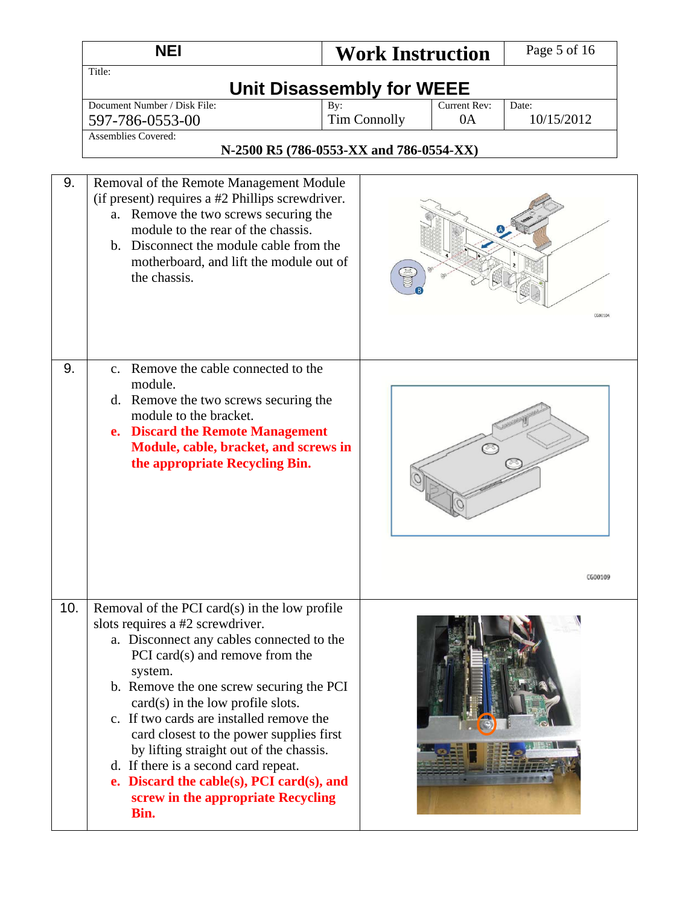|     | <b>NEI</b>                                                                                                                                                                                                                                                                                                                                                                                                                                                                                                                               | <b>Work Instruction</b>                 |                           | Page 5 of 16        |
|-----|------------------------------------------------------------------------------------------------------------------------------------------------------------------------------------------------------------------------------------------------------------------------------------------------------------------------------------------------------------------------------------------------------------------------------------------------------------------------------------------------------------------------------------------|-----------------------------------------|---------------------------|---------------------|
|     | Title:                                                                                                                                                                                                                                                                                                                                                                                                                                                                                                                                   | <b>Unit Disassembly for WEEE</b>        |                           |                     |
|     | Document Number / Disk File:<br>597-786-0553-00                                                                                                                                                                                                                                                                                                                                                                                                                                                                                          | By:<br><b>Tim Connolly</b>              | <b>Current Rev:</b><br>0A | Date:<br>10/15/2012 |
|     | <b>Assemblies Covered:</b>                                                                                                                                                                                                                                                                                                                                                                                                                                                                                                               | N-2500 R5 (786-0553-XX and 786-0554-XX) |                           |                     |
| 9.  | Removal of the Remote Management Module<br>(if present) requires a #2 Phillips screwdriver.<br>a. Remove the two screws securing the<br>module to the rear of the chassis.<br>b. Disconnect the module cable from the<br>motherboard, and lift the module out of<br>the chassis.                                                                                                                                                                                                                                                         |                                         |                           | CG00104             |
| 9.  | Remove the cable connected to the<br>$\mathbf{c}$ .<br>module.<br>d. Remove the two screws securing the<br>module to the bracket.<br>e. Discard the Remote Management<br>Module, cable, bracket, and screws in<br>the appropriate Recycling Bin.                                                                                                                                                                                                                                                                                         |                                         |                           | CG00109             |
| 10. | Removal of the PCI card $(s)$ in the low profile<br>slots requires a #2 screwdriver.<br>a. Disconnect any cables connected to the<br>PCI card(s) and remove from the<br>system.<br>b. Remove the one screw securing the PCI<br>$card(s)$ in the low profile slots.<br>c. If two cards are installed remove the<br>card closest to the power supplies first<br>by lifting straight out of the chassis.<br>d. If there is a second card repeat.<br>e. Discard the cable(s), PCI card(s), and<br>screw in the appropriate Recycling<br>Bin. |                                         |                           |                     |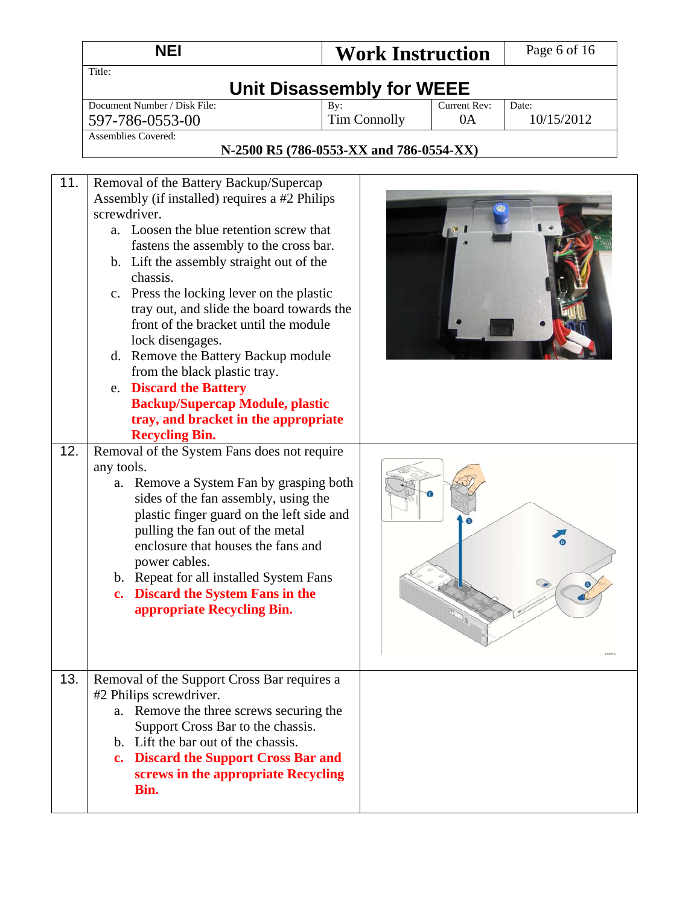|            | <b>NEI</b>                                                                                                                                                                                                                                                                                                                                                                                                                                                                                                                                                                                                                                                                                                                                                                                                           | <b>Work Instruction</b>                 |                    | Page 6 of 16        |
|------------|----------------------------------------------------------------------------------------------------------------------------------------------------------------------------------------------------------------------------------------------------------------------------------------------------------------------------------------------------------------------------------------------------------------------------------------------------------------------------------------------------------------------------------------------------------------------------------------------------------------------------------------------------------------------------------------------------------------------------------------------------------------------------------------------------------------------|-----------------------------------------|--------------------|---------------------|
|            | Title:                                                                                                                                                                                                                                                                                                                                                                                                                                                                                                                                                                                                                                                                                                                                                                                                               | <b>Unit Disassembly for WEEE</b>        |                    |                     |
|            | Document Number / Disk File:<br>597-786-0553-00                                                                                                                                                                                                                                                                                                                                                                                                                                                                                                                                                                                                                                                                                                                                                                      | By:<br><b>Tim Connolly</b>              | Current Rev:<br>0A | Date:<br>10/15/2012 |
|            | <b>Assemblies Covered:</b>                                                                                                                                                                                                                                                                                                                                                                                                                                                                                                                                                                                                                                                                                                                                                                                           | N-2500 R5 (786-0553-XX and 786-0554-XX) |                    |                     |
| 11.<br>12. | Removal of the Battery Backup/Supercap<br>Assembly (if installed) requires a #2 Philips<br>screwdriver.<br>a. Loosen the blue retention screw that<br>fastens the assembly to the cross bar.<br>b. Lift the assembly straight out of the<br>chassis.<br>c. Press the locking lever on the plastic<br>tray out, and slide the board towards the<br>front of the bracket until the module<br>lock disengages.<br>d. Remove the Battery Backup module<br>from the black plastic tray.<br>e. Discard the Battery<br><b>Backup/Supercap Module, plastic</b><br>tray, and bracket in the appropriate<br><b>Recycling Bin.</b><br>Removal of the System Fans does not require<br>any tools.<br>a. Remove a System Fan by grasping both<br>sides of the fan assembly, using the<br>plastic finger guard on the left side and |                                         |                    |                     |
|            | pulling the fan out of the metal<br>enclosure that houses the fans and<br>power cables.<br>b. Repeat for all installed System Fans<br>c. Discard the System Fans in the<br>appropriate Recycling Bin.                                                                                                                                                                                                                                                                                                                                                                                                                                                                                                                                                                                                                |                                         |                    |                     |
| 13.        | Removal of the Support Cross Bar requires a<br>#2 Philips screwdriver.<br>Remove the three screws securing the<br>a.<br>Support Cross Bar to the chassis.<br>b. Lift the bar out of the chassis.<br>c. Discard the Support Cross Bar and<br>screws in the appropriate Recycling<br>Bin.                                                                                                                                                                                                                                                                                                                                                                                                                                                                                                                              |                                         |                    |                     |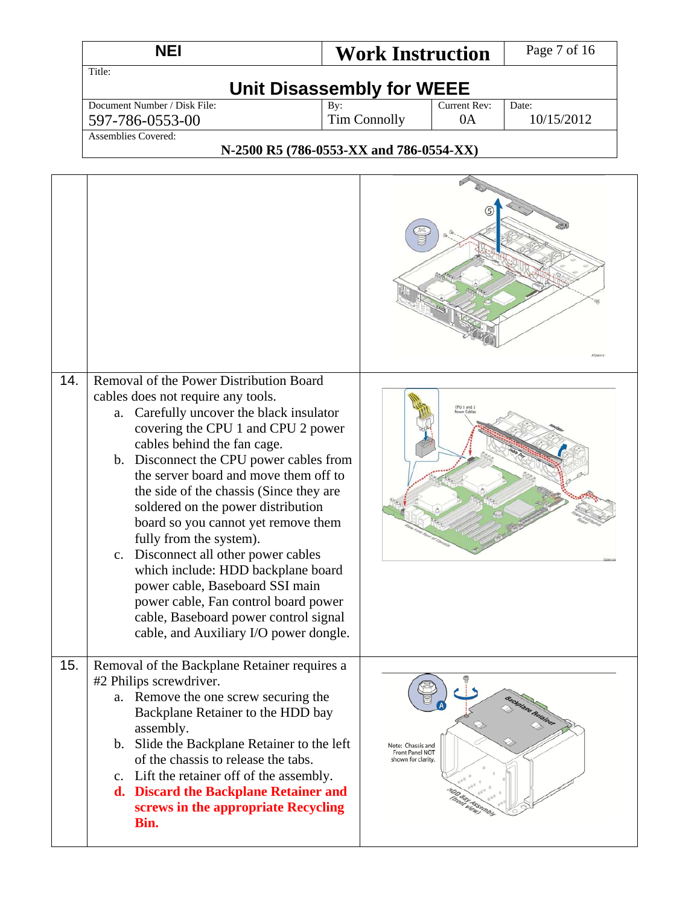| NEI                          | <b>Work Instruction</b> |              | Page 7 of 16 |
|------------------------------|-------------------------|--------------|--------------|
| Title:                       |                         |              |              |
| Unit Disassembly for WEEE    |                         |              |              |
| Document Number / Disk File: | By:                     | Current Rev: | Date:        |
| 597-786-0553-00              | Tim Connolly            | 0A           | 10/15/2012   |
| Assemblies Covered:          |                         |              |              |

#### **N-2500 R5 (786-0553-XX and 786-0554-XX)**

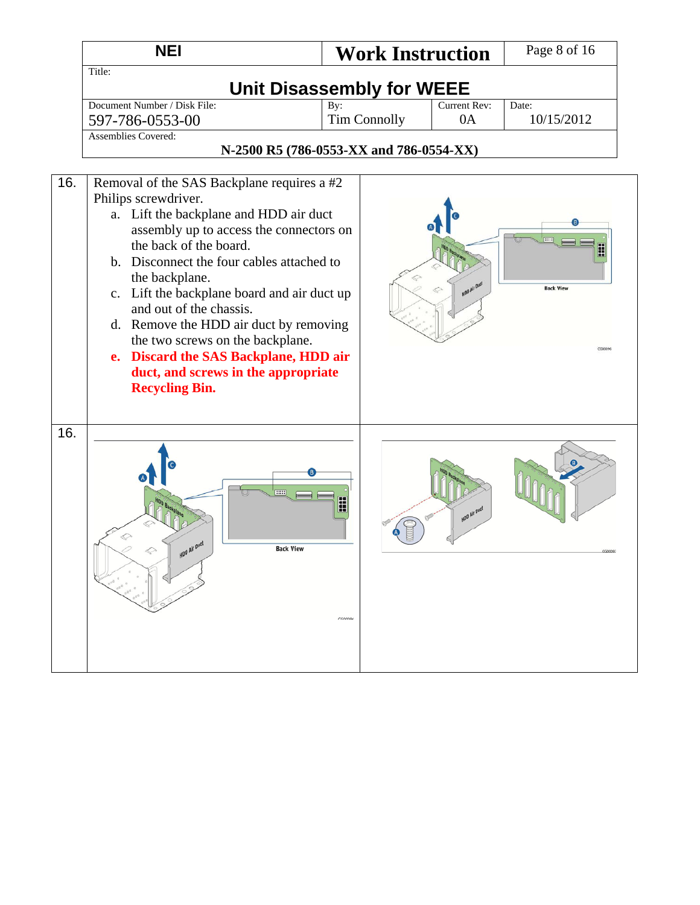|     | <b>NEI</b>                                                                                                                                                                                                                                                                                                                                                                                                                                                                                                        | <b>Work Instruction</b>                 |                     | Page 8 of 16                |
|-----|-------------------------------------------------------------------------------------------------------------------------------------------------------------------------------------------------------------------------------------------------------------------------------------------------------------------------------------------------------------------------------------------------------------------------------------------------------------------------------------------------------------------|-----------------------------------------|---------------------|-----------------------------|
|     | Title:                                                                                                                                                                                                                                                                                                                                                                                                                                                                                                            |                                         |                     |                             |
|     |                                                                                                                                                                                                                                                                                                                                                                                                                                                                                                                   | <b>Unit Disassembly for WEEE</b>        |                     |                             |
|     | Document Number / Disk File:                                                                                                                                                                                                                                                                                                                                                                                                                                                                                      | By:                                     | Current Rev:<br>0A  | Date:<br>10/15/2012         |
|     | 597-786-0553-00<br><b>Assemblies Covered:</b>                                                                                                                                                                                                                                                                                                                                                                                                                                                                     | <b>Tim Connolly</b>                     |                     |                             |
|     |                                                                                                                                                                                                                                                                                                                                                                                                                                                                                                                   | N-2500 R5 (786-0553-XX and 786-0554-XX) |                     |                             |
|     |                                                                                                                                                                                                                                                                                                                                                                                                                                                                                                                   |                                         |                     |                             |
| 16. | Removal of the SAS Backplane requires a #2<br>Philips screwdriver.<br>a. Lift the backplane and HDD air duct<br>assembly up to access the connectors on<br>the back of the board.<br>b. Disconnect the four cables attached to<br>the backplane.<br>c. Lift the backplane board and air duct up<br>and out of the chassis.<br>d. Remove the HDD air duct by removing<br>the two screws on the backplane.<br>e. Discard the SAS Backplane, HDD air<br>duct, and screws in the appropriate<br><b>Recycling Bin.</b> |                                         |                     | <b>Back View</b><br>CG00096 |
| 16. | mm<br><b>Back View</b>                                                                                                                                                                                                                                                                                                                                                                                                                                                                                            | H<br>CG00096                            | <b>VDD Air Deet</b> |                             |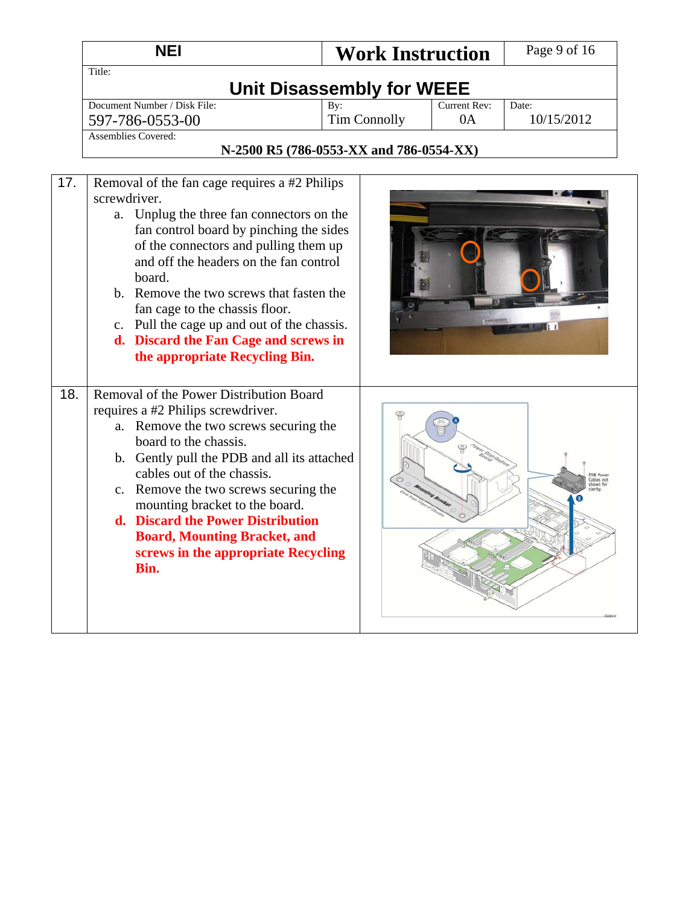|     | <b>NEI</b>                                                                                                                                                                                                                                                                                                                                                                                                                                                                                                                                  | <b>Work Instruction</b>                                               |                           | Page 9 of 16        |
|-----|---------------------------------------------------------------------------------------------------------------------------------------------------------------------------------------------------------------------------------------------------------------------------------------------------------------------------------------------------------------------------------------------------------------------------------------------------------------------------------------------------------------------------------------------|-----------------------------------------------------------------------|---------------------------|---------------------|
|     | Title:                                                                                                                                                                                                                                                                                                                                                                                                                                                                                                                                      | <b>Unit Disassembly for WEEE</b>                                      |                           |                     |
| 17. | Document Number / Disk File:<br>597-786-0553-00<br><b>Assemblies Covered:</b><br>Removal of the fan cage requires a #2 Philips<br>screwdriver.<br>a. Unplug the three fan connectors on the<br>fan control board by pinching the sides<br>of the connectors and pulling them up<br>and off the headers on the fan control<br>board.<br>b. Remove the two screws that fasten the<br>fan cage to the chassis floor.<br>c. Pull the cage up and out of the chassis.<br>d. Discard the Fan Cage and screws in<br>the appropriate Recycling Bin. | By:<br><b>Tim Connolly</b><br>N-2500 R5 (786-0553-XX and 786-0554-XX) | <b>Current Rev:</b><br>0A | Date:<br>10/15/2012 |
| 18. | Removal of the Power Distribution Board<br>requires a #2 Philips screwdriver.<br>a. Remove the two screws securing the<br>board to the chassis.<br>b. Gently pull the PDB and all its attached<br>cables out of the chassis.<br>c. Remove the two screws securing the<br>mounting bracket to the board.<br>d. Discard the Power Distribution<br><b>Board, Mounting Bracket, and</b><br>screws in the appropriate Recycling<br>Bin.                                                                                                          |                                                                       |                           |                     |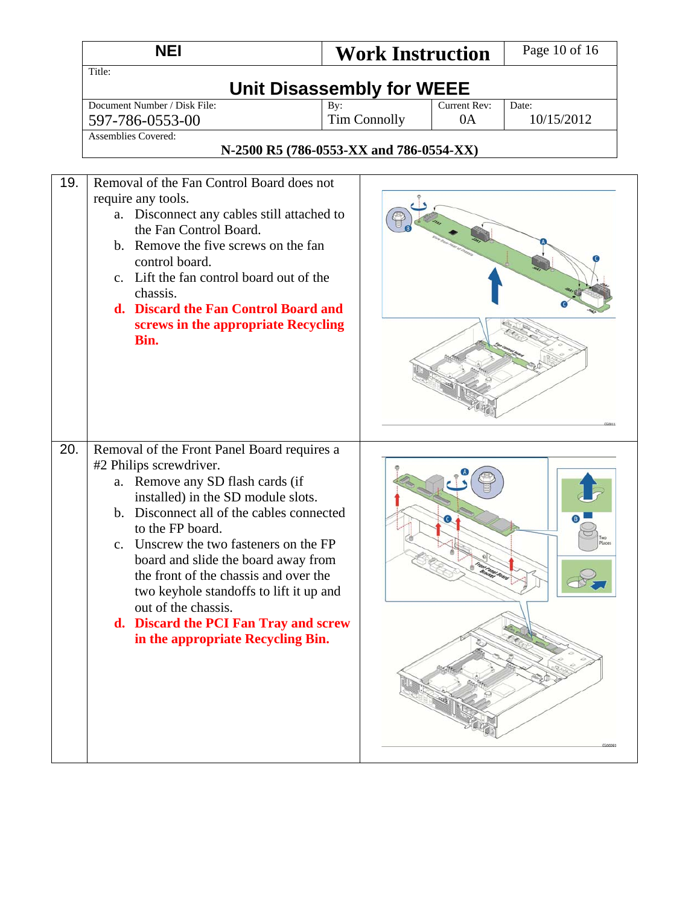|     | <b>NEI</b>                                                                                                                                                                                                                                                                                                                                                                                                                                                                                  |                                         | <b>Work Instruction</b> | Page 10 of 16       |
|-----|---------------------------------------------------------------------------------------------------------------------------------------------------------------------------------------------------------------------------------------------------------------------------------------------------------------------------------------------------------------------------------------------------------------------------------------------------------------------------------------------|-----------------------------------------|-------------------------|---------------------|
|     | Title:                                                                                                                                                                                                                                                                                                                                                                                                                                                                                      | <b>Unit Disassembly for WEEE</b>        |                         |                     |
|     | Document Number / Disk File:<br>597-786-0553-00<br><b>Assemblies Covered:</b>                                                                                                                                                                                                                                                                                                                                                                                                               | By:<br><b>Tim Connolly</b>              | Current Rev:<br>0A      | Date:<br>10/15/2012 |
|     |                                                                                                                                                                                                                                                                                                                                                                                                                                                                                             | N-2500 R5 (786-0553-XX and 786-0554-XX) |                         |                     |
| 19. | Removal of the Fan Control Board does not<br>require any tools.<br>a. Disconnect any cables still attached to<br>the Fan Control Board.<br>b. Remove the five screws on the fan<br>control board.<br>c. Lift the fan control board out of the<br>chassis.<br>d. Discard the Fan Control Board and<br>screws in the appropriate Recycling<br>Bin.                                                                                                                                            |                                         |                         |                     |
| 20. | Removal of the Front Panel Board requires a<br>#2 Philips screwdriver.<br>a. Remove any SD flash cards (if<br>installed) in the SD module slots.<br>b. Disconnect all of the cables connected<br>to the FP board.<br>c. Unscrew the two fasteners on the FP<br>board and slide the board away from<br>the front of the chassis and over the<br>two keyhole standoffs to lift it up and<br>out of the chassis.<br>d. Discard the PCI Fan Tray and screw<br>in the appropriate Recycling Bin. |                                         |                         | Two<br>Places       |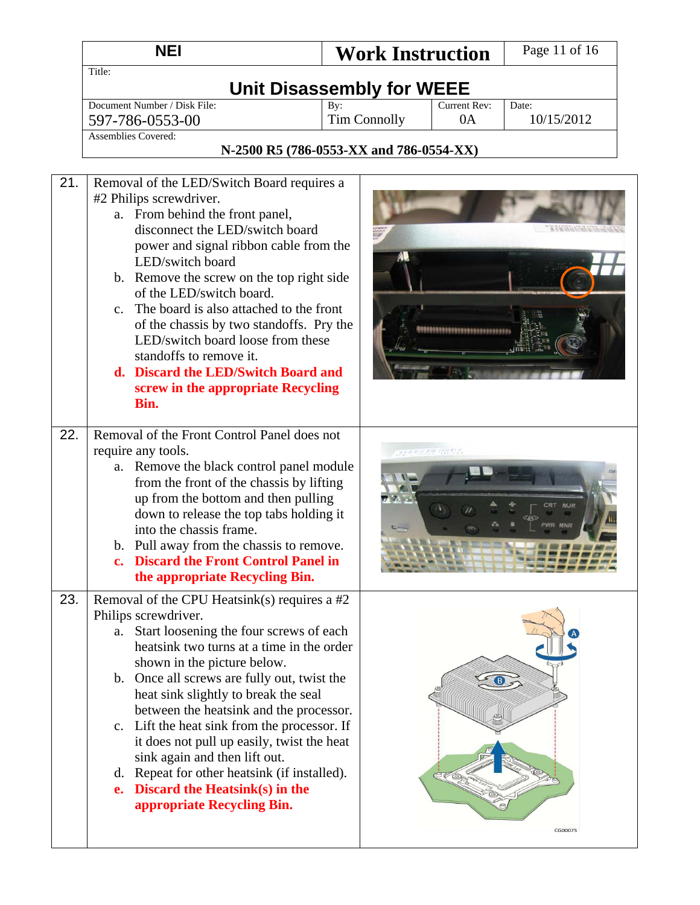|     | <b>NEI</b>                                                                                                                                                                                                                                                                                                                                                                                                                                                                                                                                                                              | <b>Work Instruction</b>                 |                         | Page 11 of 16       |  |
|-----|-----------------------------------------------------------------------------------------------------------------------------------------------------------------------------------------------------------------------------------------------------------------------------------------------------------------------------------------------------------------------------------------------------------------------------------------------------------------------------------------------------------------------------------------------------------------------------------------|-----------------------------------------|-------------------------|---------------------|--|
|     | Title:<br><b>Unit Disassembly for WEEE</b>                                                                                                                                                                                                                                                                                                                                                                                                                                                                                                                                              |                                         |                         |                     |  |
|     | Document Number / Disk File:<br>597-786-0553-00                                                                                                                                                                                                                                                                                                                                                                                                                                                                                                                                         | By:<br><b>Tim Connolly</b>              | Current Rev:<br>0A      | Date:<br>10/15/2012 |  |
|     | <b>Assemblies Covered:</b>                                                                                                                                                                                                                                                                                                                                                                                                                                                                                                                                                              | N-2500 R5 (786-0553-XX and 786-0554-XX) |                         |                     |  |
| 21. | Removal of the LED/Switch Board requires a<br>#2 Philips screwdriver.<br>a. From behind the front panel,<br>disconnect the LED/switch board<br>power and signal ribbon cable from the<br>LED/switch board<br>b. Remove the screw on the top right side<br>of the LED/switch board.<br>The board is also attached to the front<br>$c_{\cdot}$<br>of the chassis by two standoffs. Pry the<br>LED/switch board loose from these<br>standoffs to remove it.<br>d. Discard the LED/Switch Board and<br>screw in the appropriate Recycling<br>Bin.                                           |                                         |                         |                     |  |
| 22. | Removal of the Front Control Panel does not<br>require any tools.<br>a. Remove the black control panel module<br>from the front of the chassis by lifting<br>up from the bottom and then pulling<br>down to release the top tabs holding it<br>into the chassis frame.<br>b. Pull away from the chassis to remove.<br><b>Discard the Front Control Panel in</b><br>the appropriate Recycling Bin.                                                                                                                                                                                       |                                         | <b>CARD CARD AN AND</b> |                     |  |
| 23. | Removal of the CPU Heatsink(s) requires a $#2$<br>Philips screwdriver.<br>a. Start loosening the four screws of each<br>heatsink two turns at a time in the order<br>shown in the picture below.<br>b. Once all screws are fully out, twist the<br>heat sink slightly to break the seal<br>between the heatsink and the processor.<br>c. Lift the heat sink from the processor. If<br>it does not pull up easily, twist the heat<br>sink again and then lift out.<br>d. Repeat for other heatsink (if installed).<br>e. Discard the Heatsink $(s)$ in the<br>appropriate Recycling Bin. |                                         |                         | CG00075             |  |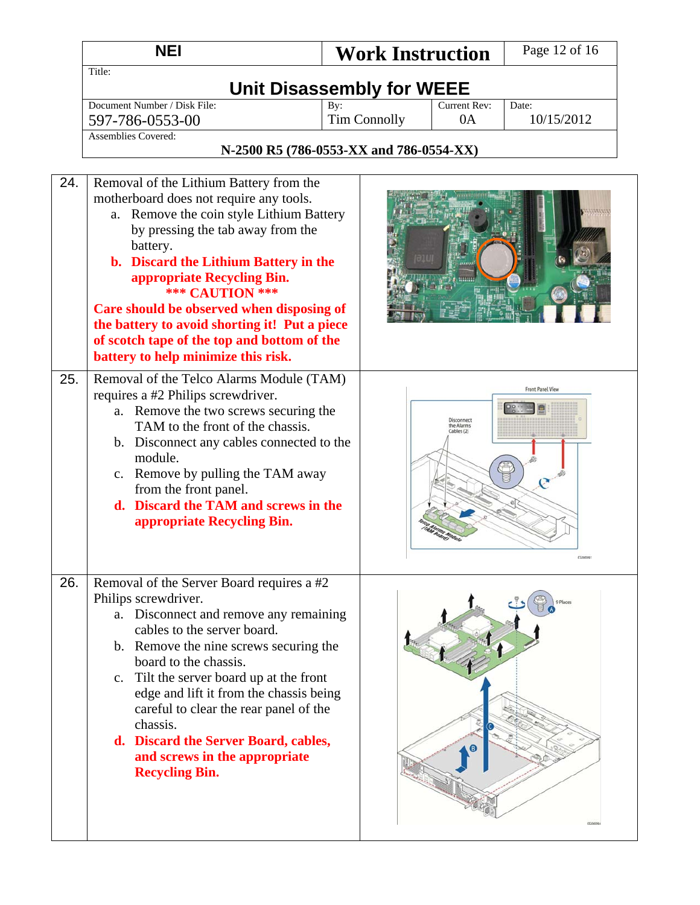|     | <b>NEI</b>                                                                                                                                                                                                                                                                                                                                                                                                                                                      | <b>Work Instruction</b>                 |                                        | Page 12 of 16       |  |
|-----|-----------------------------------------------------------------------------------------------------------------------------------------------------------------------------------------------------------------------------------------------------------------------------------------------------------------------------------------------------------------------------------------------------------------------------------------------------------------|-----------------------------------------|----------------------------------------|---------------------|--|
|     | Title:<br><b>Unit Disassembly for WEEE</b>                                                                                                                                                                                                                                                                                                                                                                                                                      |                                         |                                        |                     |  |
|     | Document Number / Disk File:<br>597-786-0553-00                                                                                                                                                                                                                                                                                                                                                                                                                 | By:<br><b>Tim Connolly</b>              | Current Rev:<br>0A                     | Date:<br>10/15/2012 |  |
|     | <b>Assemblies Covered:</b>                                                                                                                                                                                                                                                                                                                                                                                                                                      | N-2500 R5 (786-0553-XX and 786-0554-XX) |                                        |                     |  |
| 24. | Removal of the Lithium Battery from the<br>motherboard does not require any tools.<br>a. Remove the coin style Lithium Battery<br>by pressing the tab away from the<br>battery.<br>b. Discard the Lithium Battery in the<br>appropriate Recycling Bin.<br>*** CAUTION ***<br>Care should be observed when disposing of<br>the battery to avoid shorting it! Put a piece<br>of scotch tape of the top and bottom of the<br>battery to help minimize this risk.   |                                         |                                        |                     |  |
| 25. | Removal of the Telco Alarms Module (TAM)<br>requires a #2 Philips screwdriver.<br>a. Remove the two screws securing the<br>TAM to the front of the chassis.<br>b. Disconnect any cables connected to the<br>module.<br>c. Remove by pulling the TAM away<br>from the front panel.<br>d. Discard the TAM and screws in the<br>appropriate Recycling Bin.                                                                                                         |                                         | Disconnect<br>the Alarms<br>Cables (2) | Front Panel View    |  |
| 26. | Removal of the Server Board requires a #2<br>Philips screwdriver.<br>Disconnect and remove any remaining<br>a.<br>cables to the server board.<br>b. Remove the nine screws securing the<br>board to the chassis.<br>c. Tilt the server board up at the front<br>edge and lift it from the chassis being<br>careful to clear the rear panel of the<br>chassis.<br>d. Discard the Server Board, cables,<br>and screws in the appropriate<br><b>Recycling Bin.</b> |                                         |                                        |                     |  |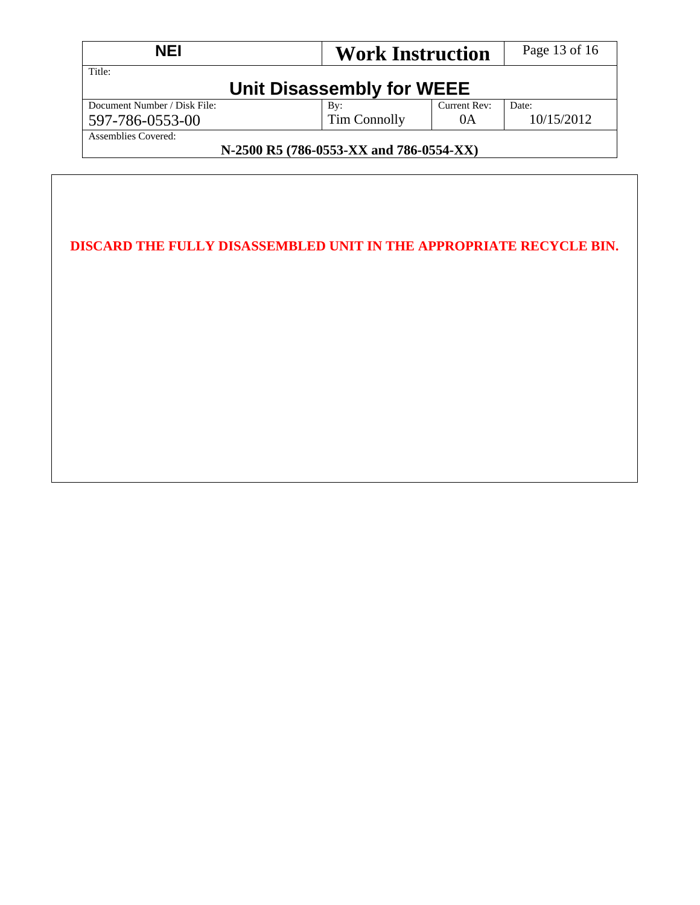| <b>NEI</b>                              |                 | <b>Work Instruction</b> |            |  |  |
|-----------------------------------------|-----------------|-------------------------|------------|--|--|
| Title:<br>Unit Disassembly for WEEE     |                 |                         |            |  |  |
| Document Number / Disk File:            | $\mathbf{B}v$ : | Current Rev:            | Date:      |  |  |
| 597-786-0553-00                         | Tim Connolly    | 0A                      | 10/15/2012 |  |  |
| Assemblies Covered:                     |                 |                         |            |  |  |
| N-2500 R5 (786-0553-XX and 786-0554-XX) |                 |                         |            |  |  |

| DISCARD THE FULLY DISASSEMBLED UNIT IN THE APPROPRIATE RECYCLE BIN. |  |
|---------------------------------------------------------------------|--|
|                                                                     |  |
|                                                                     |  |
|                                                                     |  |
|                                                                     |  |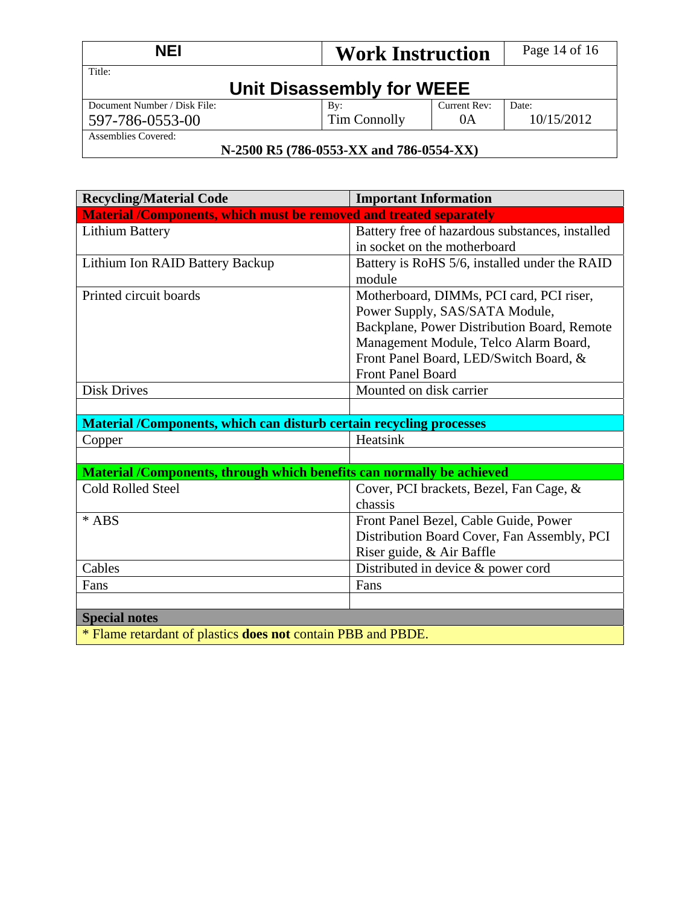| <b>NEI</b>                          |              | <b>Work Instruction</b> |            |  |
|-------------------------------------|--------------|-------------------------|------------|--|
| Title:<br>Unit Disassembly for WEEE |              |                         |            |  |
| Document Number / Disk File:        | By:          | Current Rev:            | Date:      |  |
| 597-786-0553-00                     | Tim Connolly | 0A                      | 10/15/2012 |  |
| Assemblies Covered:                 |              |                         |            |  |

#### **N-2500 R5 (786-0553-XX and 786-0554-XX)**

| <b>Recycling/Material Code</b>                                        | <b>Important Information</b>                    |  |  |
|-----------------------------------------------------------------------|-------------------------------------------------|--|--|
| Material /Components, which must be removed and treated separately    |                                                 |  |  |
| <b>Lithium Battery</b>                                                | Battery free of hazardous substances, installed |  |  |
|                                                                       | in socket on the motherboard                    |  |  |
| Lithium Ion RAID Battery Backup                                       | Battery is RoHS 5/6, installed under the RAID   |  |  |
|                                                                       | module                                          |  |  |
| Printed circuit boards                                                | Motherboard, DIMMs, PCI card, PCI riser,        |  |  |
|                                                                       | Power Supply, SAS/SATA Module,                  |  |  |
|                                                                       | Backplane, Power Distribution Board, Remote     |  |  |
|                                                                       | Management Module, Telco Alarm Board,           |  |  |
|                                                                       | Front Panel Board, LED/Switch Board, &          |  |  |
|                                                                       | Front Panel Board                               |  |  |
| <b>Disk Drives</b>                                                    | Mounted on disk carrier                         |  |  |
|                                                                       |                                                 |  |  |
| Material /Components, which can disturb certain recycling processes   |                                                 |  |  |
| Copper                                                                | Heatsink                                        |  |  |
|                                                                       |                                                 |  |  |
| Material /Components, through which benefits can normally be achieved |                                                 |  |  |
| Cold Rolled Steel                                                     | Cover, PCI brackets, Bezel, Fan Cage, &         |  |  |
|                                                                       | chassis                                         |  |  |
| * ABS                                                                 | Front Panel Bezel, Cable Guide, Power           |  |  |
|                                                                       | Distribution Board Cover, Fan Assembly, PCI     |  |  |
|                                                                       | Riser guide, & Air Baffle                       |  |  |
| Cables                                                                | Distributed in device $&$ power cord            |  |  |
| Fans                                                                  | Fans                                            |  |  |
|                                                                       |                                                 |  |  |
| <b>Special notes</b>                                                  |                                                 |  |  |
| * Flame retardant of plastics <b>does not</b> contain PBB and PBDE.   |                                                 |  |  |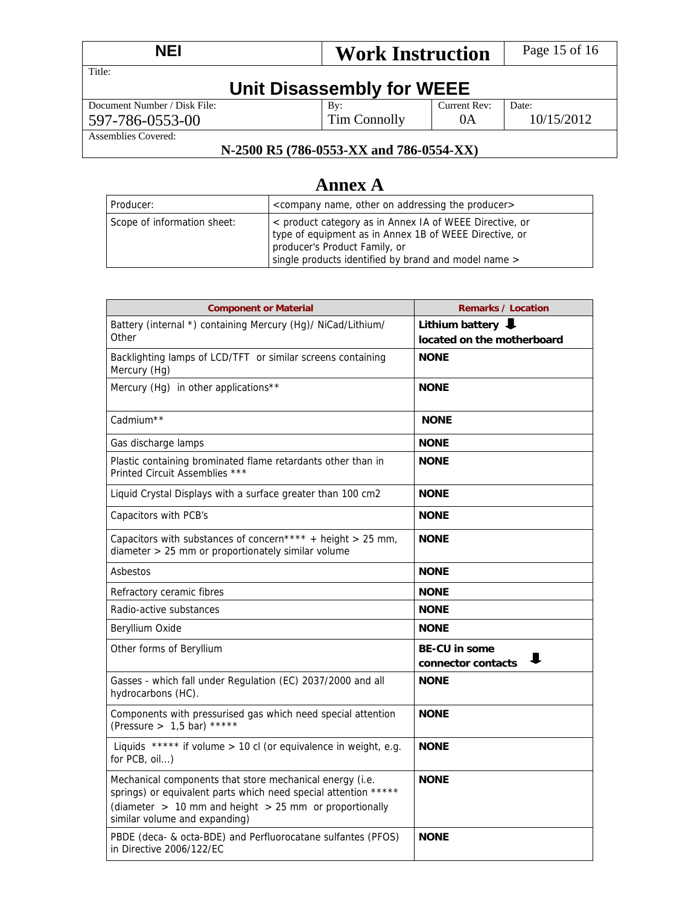| <b>NEI</b>                   | <b>Work Instruction</b> |              | Page 15 of 16 |  |
|------------------------------|-------------------------|--------------|---------------|--|
| Title:                       |                         |              |               |  |
| Unit Disassembly for WEEE    |                         |              |               |  |
| Document Number / Disk File: | $\mathbf{B}v$ :         | Current Rev: | Date:         |  |
| 597-786-0553-00              | Tim Connolly            | 0A           | 10/15/2012    |  |
| Assemblies Covered:          |                         |              |               |  |

### **N-2500 R5 (786-0553-XX and 786-0554-XX)**

# **Annex A**

| Producer:                   | <company addressing="" name,="" on="" other="" producer="" the=""></company>                                                                                                                               |
|-----------------------------|------------------------------------------------------------------------------------------------------------------------------------------------------------------------------------------------------------|
| Scope of information sheet: | < product category as in Annex IA of WEEE Directive, or<br>type of equipment as in Annex 1B of WEEE Directive, or<br>producer's Product Family, or<br>single products identified by brand and model name > |

| <b>Component or Material</b>                                                                                                                                                                                               | <b>Remarks / Location</b>                       |
|----------------------------------------------------------------------------------------------------------------------------------------------------------------------------------------------------------------------------|-------------------------------------------------|
| Battery (internal *) containing Mercury (Hg)/ NiCad/Lithium/<br>Other                                                                                                                                                      | Lithium battery<br>located on the motherboard   |
| Backlighting lamps of LCD/TFT or similar screens containing<br>Mercury (Hg)                                                                                                                                                | <b>NONE</b>                                     |
| Mercury (Hg) in other applications**                                                                                                                                                                                       | <b>NONE</b>                                     |
| Cadmium <sup>**</sup>                                                                                                                                                                                                      | <b>NONE</b>                                     |
| Gas discharge lamps                                                                                                                                                                                                        | <b>NONE</b>                                     |
| Plastic containing brominated flame retardants other than in<br>Printed Circuit Assemblies ***                                                                                                                             | <b>NONE</b>                                     |
| Liquid Crystal Displays with a surface greater than 100 cm2                                                                                                                                                                | <b>NONE</b>                                     |
| Capacitors with PCB's                                                                                                                                                                                                      | <b>NONE</b>                                     |
| Capacitors with substances of concern**** + height > 25 mm,<br>diameter > 25 mm or proportionately similar volume                                                                                                          | <b>NONE</b>                                     |
| Asbestos                                                                                                                                                                                                                   | <b>NONE</b>                                     |
| Refractory ceramic fibres                                                                                                                                                                                                  | <b>NONE</b>                                     |
| Radio-active substances                                                                                                                                                                                                    | <b>NONE</b>                                     |
| Beryllium Oxide                                                                                                                                                                                                            | <b>NONE</b>                                     |
| Other forms of Beryllium                                                                                                                                                                                                   | <b>BE-CU in some</b><br>ш<br>connector contacts |
| Gasses - which fall under Regulation (EC) 2037/2000 and all<br>hydrocarbons (HC).                                                                                                                                          | <b>NONE</b>                                     |
| Components with pressurised gas which need special attention<br>(Pressure > $1,5$ bar) *****                                                                                                                               | <b>NONE</b>                                     |
| Liquids ***** if volume > 10 cl (or equivalence in weight, e.g.<br>for PCB, oil)                                                                                                                                           | <b>NONE</b>                                     |
| Mechanical components that store mechanical energy (i.e.<br>springs) or equivalent parts which need special attention *****<br>(diameter $> 10$ mm and height $> 25$ mm or proportionally<br>similar volume and expanding) | <b>NONE</b>                                     |
| PBDE (deca- & octa-BDE) and Perfluorocatane sulfantes (PFOS)<br>in Directive 2006/122/EC                                                                                                                                   | <b>NONE</b>                                     |